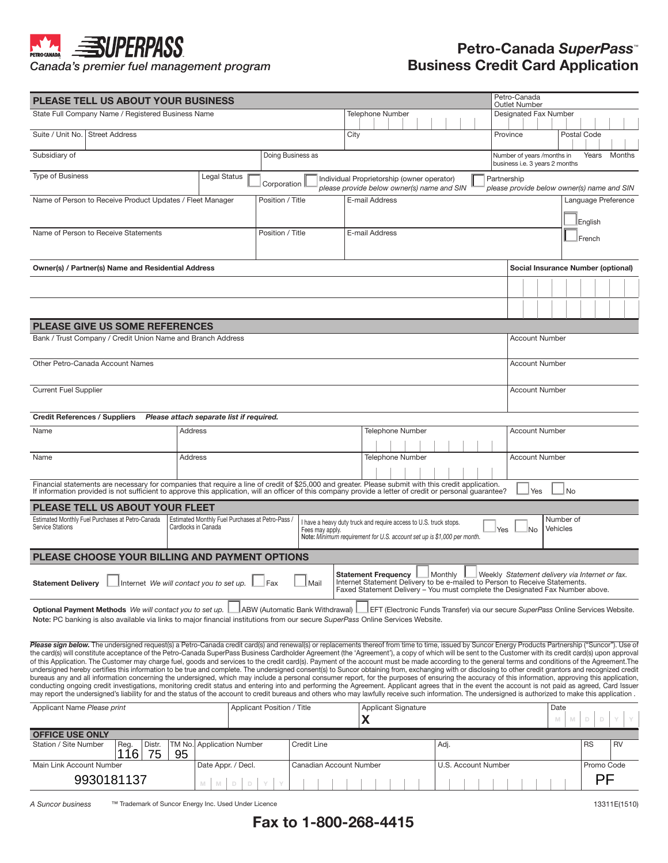## **SUPERPASS PETRO**

*Canada's premier fuel management program*

## **Petro-Canada** *SuperPass*™ **Business Credit Card Application**

| <b>PLEASE TELL US ABOUT YOUR BUSINESS</b>                                                                                                                                                                                                                                                                                                                                                                        |                     |                                                 |                            |                                                                                      |      |                                                                                                                                                                                            |                                                                                 |         | Petro-Canada<br><b>Outlet Number</b> |                     |             |                                    |                       |                                                                                   |           |  |  |
|------------------------------------------------------------------------------------------------------------------------------------------------------------------------------------------------------------------------------------------------------------------------------------------------------------------------------------------------------------------------------------------------------------------|---------------------|-------------------------------------------------|----------------------------|--------------------------------------------------------------------------------------|------|--------------------------------------------------------------------------------------------------------------------------------------------------------------------------------------------|---------------------------------------------------------------------------------|---------|--------------------------------------|---------------------|-------------|------------------------------------|-----------------------|-----------------------------------------------------------------------------------|-----------|--|--|
| State Full Company Name / Registered Business Name<br><b>Telephone Number</b>                                                                                                                                                                                                                                                                                                                                    |                     |                                                 |                            |                                                                                      |      |                                                                                                                                                                                            |                                                                                 |         | Designated Fax Number                |                     |             |                                    |                       |                                                                                   |           |  |  |
| Suite / Unit No.   Street Address                                                                                                                                                                                                                                                                                                                                                                                |                     |                                                 |                            |                                                                                      | City |                                                                                                                                                                                            |                                                                                 |         |                                      |                     | Province    |                                    |                       | Postal Code                                                                       |           |  |  |
| Subsidiary of<br>Doing Business as                                                                                                                                                                                                                                                                                                                                                                               |                     |                                                 |                            |                                                                                      |      |                                                                                                                                                                                            | Years<br>Months<br>Number of years /months in<br>business i.e. 3 years 2 months |         |                                      |                     |             |                                    |                       |                                                                                   |           |  |  |
| <b>Type of Business</b>                                                                                                                                                                                                                                                                                                                                                                                          |                     | Legal Status                                    | Corporation                |                                                                                      |      | Individual Proprietorship (owner operator)                                                                                                                                                 |                                                                                 |         |                                      |                     | Partnership |                                    |                       |                                                                                   |           |  |  |
| Name of Person to Receive Product Updates / Fleet Manager                                                                                                                                                                                                                                                                                                                                                        |                     |                                                 | Position / Title           |                                                                                      |      | please provide below owner(s) name and SIN<br>E-mail Address                                                                                                                               |                                                                                 |         |                                      |                     |             |                                    |                       | please provide below owner(s) name and SIN<br>Language Preference                 |           |  |  |
|                                                                                                                                                                                                                                                                                                                                                                                                                  |                     |                                                 |                            |                                                                                      |      |                                                                                                                                                                                            |                                                                                 |         |                                      |                     |             |                                    |                       |                                                                                   |           |  |  |
|                                                                                                                                                                                                                                                                                                                                                                                                                  |                     |                                                 |                            |                                                                                      |      |                                                                                                                                                                                            |                                                                                 | English |                                      |                     |             |                                    |                       |                                                                                   |           |  |  |
| Name of Person to Receive Statements<br>Position / Title<br>E-mail Address                                                                                                                                                                                                                                                                                                                                       |                     |                                                 |                            |                                                                                      |      |                                                                                                                                                                                            |                                                                                 |         | French                               |                     |             |                                    |                       |                                                                                   |           |  |  |
|                                                                                                                                                                                                                                                                                                                                                                                                                  |                     |                                                 |                            |                                                                                      |      |                                                                                                                                                                                            |                                                                                 |         |                                      |                     |             |                                    |                       |                                                                                   |           |  |  |
| Owner(s) / Partner(s) Name and Residential Address                                                                                                                                                                                                                                                                                                                                                               |                     |                                                 |                            |                                                                                      |      |                                                                                                                                                                                            |                                                                                 |         |                                      |                     |             | Social Insurance Number (optional) |                       |                                                                                   |           |  |  |
|                                                                                                                                                                                                                                                                                                                                                                                                                  |                     |                                                 |                            |                                                                                      |      |                                                                                                                                                                                            |                                                                                 |         |                                      |                     |             |                                    |                       |                                                                                   |           |  |  |
|                                                                                                                                                                                                                                                                                                                                                                                                                  |                     |                                                 |                            |                                                                                      |      |                                                                                                                                                                                            |                                                                                 |         |                                      |                     |             |                                    |                       |                                                                                   |           |  |  |
| <b>PLEASE GIVE US SOME REFERENCES</b>                                                                                                                                                                                                                                                                                                                                                                            |                     |                                                 |                            |                                                                                      |      |                                                                                                                                                                                            |                                                                                 |         |                                      |                     |             |                                    |                       |                                                                                   |           |  |  |
| Bank / Trust Company / Credit Union Name and Branch Address                                                                                                                                                                                                                                                                                                                                                      |                     |                                                 |                            |                                                                                      |      |                                                                                                                                                                                            |                                                                                 |         |                                      |                     |             | <b>Account Number</b>              |                       |                                                                                   |           |  |  |
|                                                                                                                                                                                                                                                                                                                                                                                                                  |                     |                                                 |                            |                                                                                      |      |                                                                                                                                                                                            |                                                                                 |         |                                      |                     |             |                                    |                       |                                                                                   |           |  |  |
| Other Petro-Canada Account Names                                                                                                                                                                                                                                                                                                                                                                                 |                     |                                                 |                            |                                                                                      |      |                                                                                                                                                                                            |                                                                                 |         | <b>Account Number</b>                |                     |             |                                    |                       |                                                                                   |           |  |  |
| <b>Current Fuel Supplier</b>                                                                                                                                                                                                                                                                                                                                                                                     |                     |                                                 |                            |                                                                                      |      |                                                                                                                                                                                            |                                                                                 |         |                                      |                     |             | <b>Account Number</b>              |                       |                                                                                   |           |  |  |
|                                                                                                                                                                                                                                                                                                                                                                                                                  |                     |                                                 |                            |                                                                                      |      |                                                                                                                                                                                            |                                                                                 |         |                                      |                     |             |                                    |                       |                                                                                   |           |  |  |
| <b>Credit References / Suppliers</b><br>Please attach separate list if required.                                                                                                                                                                                                                                                                                                                                 |                     |                                                 |                            |                                                                                      |      |                                                                                                                                                                                            |                                                                                 |         |                                      |                     |             |                                    |                       |                                                                                   |           |  |  |
| Name                                                                                                                                                                                                                                                                                                                                                                                                             | Address             |                                                 |                            |                                                                                      |      | Telephone Number                                                                                                                                                                           |                                                                                 |         |                                      |                     |             | <b>Account Number</b>              |                       |                                                                                   |           |  |  |
|                                                                                                                                                                                                                                                                                                                                                                                                                  |                     |                                                 |                            |                                                                                      |      |                                                                                                                                                                                            |                                                                                 |         |                                      |                     |             |                                    |                       |                                                                                   |           |  |  |
| Name                                                                                                                                                                                                                                                                                                                                                                                                             | Address             |                                                 |                            |                                                                                      |      | Telephone Number                                                                                                                                                                           |                                                                                 |         |                                      |                     |             | <b>Account Number</b>              |                       |                                                                                   |           |  |  |
| Financial statements are necessary for companies that require a line of credit of \$25,000 and greater. Please submit with this credit application.                                                                                                                                                                                                                                                              |                     |                                                 |                            |                                                                                      |      |                                                                                                                                                                                            |                                                                                 |         |                                      |                     |             |                                    |                       |                                                                                   |           |  |  |
| If information provided is not sufficient to approve this application, will an officer of this company provide a letter of credit or personal quarantee?                                                                                                                                                                                                                                                         |                     |                                                 |                            |                                                                                      |      |                                                                                                                                                                                            |                                                                                 |         |                                      |                     |             | Yes                                | No                    |                                                                                   |           |  |  |
| PLEASE TELL US ABOUT YOUR FLEET                                                                                                                                                                                                                                                                                                                                                                                  |                     |                                                 |                            |                                                                                      |      |                                                                                                                                                                                            |                                                                                 |         |                                      |                     |             |                                    |                       |                                                                                   |           |  |  |
| Estimated Monthly Fuel Purchases at Petro-Canada<br><b>Service Stations</b>                                                                                                                                                                                                                                                                                                                                      | Cardlocks in Canada | Estimated Monthly Fuel Purchases at Petro-Pass, |                            | I have a heavy duty truck and require access to U.S. truck stops.<br>Fees may apply. |      |                                                                                                                                                                                            |                                                                                 |         |                                      |                     | Yes         | <b>No</b>                          | Number of<br>Vehicles |                                                                                   |           |  |  |
|                                                                                                                                                                                                                                                                                                                                                                                                                  |                     |                                                 |                            | Note: Minimum requirement for U.S. account set up is \$1,000 per month.              |      |                                                                                                                                                                                            |                                                                                 |         |                                      |                     |             |                                    |                       |                                                                                   |           |  |  |
| PLEASE CHOOSE YOUR BILLING AND PAYMENT OPTIONS                                                                                                                                                                                                                                                                                                                                                                   |                     |                                                 |                            |                                                                                      |      |                                                                                                                                                                                            |                                                                                 |         |                                      |                     |             |                                    |                       |                                                                                   |           |  |  |
| 』Internet We will contact you to set up. L<br><b>Statement Delivery</b>                                                                                                                                                                                                                                                                                                                                          |                     |                                                 | —l Fax                     | ⊥Mail                                                                                |      | <b>Statement Frequency</b><br>Internet Statement Delivery to be e-mailed to Person to Receive Statements.<br>Faxed Statement Delivery - You must complete the Designated Fax Number above. |                                                                                 |         | Monthly                              |                     |             |                                    |                       | Weekly Statement delivery via Internet or fax.                                    |           |  |  |
| Optional Payment Methods We will contact you to set up.                                                                                                                                                                                                                                                                                                                                                          |                     |                                                 |                            | ABW (Automatic Bank Withdrawal)                                                      |      |                                                                                                                                                                                            |                                                                                 |         |                                      |                     |             |                                    |                       | EFT (Electronic Funds Transfer) via our secure SuperPass Online Services Website. |           |  |  |
| Note: PC banking is also available via links to maior financial institutions from our secure SuperPass Online Services Website.                                                                                                                                                                                                                                                                                  |                     |                                                 |                            |                                                                                      |      |                                                                                                                                                                                            |                                                                                 |         |                                      |                     |             |                                    |                       |                                                                                   |           |  |  |
| Please sign below. The undersigned request(s) a Petro-Canada credit card(s) and renewal(s) or replacements thereof from time to time, issued by Suncor Energy Products Partnership ("Suncor"). Use of                                                                                                                                                                                                            |                     |                                                 |                            |                                                                                      |      |                                                                                                                                                                                            |                                                                                 |         |                                      |                     |             |                                    |                       |                                                                                   |           |  |  |
| the card(s) will constitute acceptance of the Petro-Canada SuperPass Business Cardholder Agreement (the 'Agreement'), a copy of which will be sent to the Customer with its credit card(s) upon approval<br>of this Application. The Customer may charge fuel, goods and services to the credit card(s). Payment of the account must be made according to the general terms and conditions of the Agreement. The |                     |                                                 |                            |                                                                                      |      |                                                                                                                                                                                            |                                                                                 |         |                                      |                     |             |                                    |                       |                                                                                   |           |  |  |
| undersigned hereby certifies this information to be true and complete. The undersigned consent(s) to Suncor obtaining from, exchanging with or disclosing to other credit grantors and recognized credit                                                                                                                                                                                                         |                     |                                                 |                            |                                                                                      |      |                                                                                                                                                                                            |                                                                                 |         |                                      |                     |             |                                    |                       |                                                                                   |           |  |  |
| bureaus any and all information concerning the undersigned, which may include a personal consumer report, for the purposes of ensuring the accuracy of this information, approving this application,<br>conducting ongoing credit investigations, monitoring credit status and entering into and performing the Agreement. Applicant agrees that in the event the account is not paid as agreed, Card Issuer     |                     |                                                 |                            |                                                                                      |      |                                                                                                                                                                                            |                                                                                 |         |                                      |                     |             |                                    |                       |                                                                                   |           |  |  |
| may report the undersigned's liability for and the status of the account to credit bureaus and others who may lawfully receive such information. The undersigned is authorized to make this application.<br>Applicant Name Please print                                                                                                                                                                          |                     |                                                 | Applicant Position / Title |                                                                                      |      | <b>Applicant Signature</b>                                                                                                                                                                 |                                                                                 |         |                                      |                     |             |                                    | Date                  |                                                                                   |           |  |  |
|                                                                                                                                                                                                                                                                                                                                                                                                                  |                     |                                                 |                            |                                                                                      |      | X                                                                                                                                                                                          |                                                                                 |         |                                      |                     |             |                                    | M<br>M                | D                                                                                 |           |  |  |
| <b>OFFICE USE ONLY</b>                                                                                                                                                                                                                                                                                                                                                                                           |                     |                                                 |                            |                                                                                      |      |                                                                                                                                                                                            |                                                                                 |         |                                      |                     |             |                                    |                       |                                                                                   |           |  |  |
| Station / Site Number<br>Distr.<br>Reg.<br>116<br>75                                                                                                                                                                                                                                                                                                                                                             | TM No.<br>95        | <b>Application Number</b>                       |                            | <b>Credit Line</b>                                                                   |      |                                                                                                                                                                                            |                                                                                 |         | Adj.                                 |                     |             |                                    |                       | <b>RS</b>                                                                         | <b>RV</b> |  |  |
| Main Link Account Number                                                                                                                                                                                                                                                                                                                                                                                         |                     | Date Appr. / Decl.                              |                            | Canadian Account Number                                                              |      |                                                                                                                                                                                            |                                                                                 |         |                                      | U.S. Account Number |             |                                    |                       | Promo Code                                                                        |           |  |  |

*A Suncor business* ™ Trademark of Suncor Energy Inc. Used Under Licence

**M M D D Y Y**

9930181137 **Noted Street Street East Construct Term** 

13311E(1510)